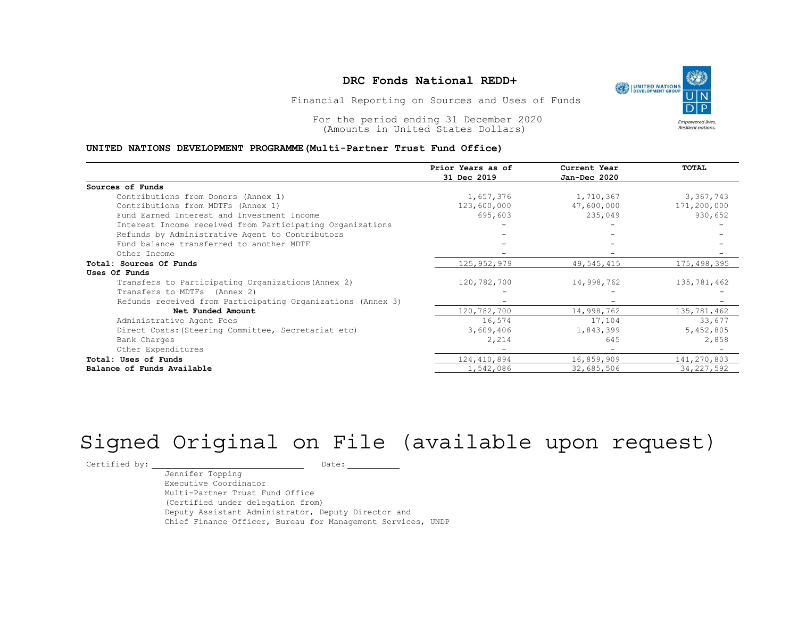## DRC Fonds National REDD+<br> **EXECUTED NATIONS NATIONS**

### UNITED NATIONS DEVELOPMENT PROGRAMME(Multi-Partner Trust Fund Office)

|                                                                                                                                                        | DRC Fonds National REDD+<br>UNITED NATIONS<br>DEVELOPMENT GROUP<br>Financial Reporting on Sources and Uses of Funds |                              |             |  |  |  |  |
|--------------------------------------------------------------------------------------------------------------------------------------------------------|---------------------------------------------------------------------------------------------------------------------|------------------------------|-------------|--|--|--|--|
| For the period ending 31 December 2020<br>(Amounts in United States Dollars)<br>UNITED NATIONS DEVELOPMENT PROGRAMME (Multi-Partner Trust Fund Office) | <b>Empowered lives.</b><br><b>Resilient nations</b>                                                                 |                              |             |  |  |  |  |
|                                                                                                                                                        | Prior Years as of<br>31 Dec 2019                                                                                    | Current Year<br>Jan-Dec 2020 | TOTAL       |  |  |  |  |
| Sources of Funds                                                                                                                                       |                                                                                                                     |                              |             |  |  |  |  |
| Contributions from Donors (Annex 1)                                                                                                                    | 1,657,376                                                                                                           | 1,710,367                    | 3,367,743   |  |  |  |  |
| Contributions from MDTFs (Annex 1)                                                                                                                     | 123,600,000                                                                                                         | 47,600,000                   | 171,200,000 |  |  |  |  |
| Fund Earned Interest and Investment Income                                                                                                             | 695,603                                                                                                             | 235,049                      | 930,652     |  |  |  |  |
| Interest Income received from Participating Organizations                                                                                              |                                                                                                                     |                              |             |  |  |  |  |
| Refunds by Administrative Agent to Contributors                                                                                                        |                                                                                                                     |                              |             |  |  |  |  |
| Fund balance transferred to another MDTF                                                                                                               |                                                                                                                     |                              |             |  |  |  |  |
| Other Income                                                                                                                                           |                                                                                                                     |                              |             |  |  |  |  |
| Total: Sources Of Funds                                                                                                                                | 125, 952, 979                                                                                                       | 49, 545, 415                 | 175,498,395 |  |  |  |  |
| Uses Of Funds                                                                                                                                          |                                                                                                                     |                              |             |  |  |  |  |
| Transfers to Participating Organizations (Annex 2)                                                                                                     | 120,782,700                                                                                                         | 14,998,762                   | 135,781,462 |  |  |  |  |
| Transfers to MDTFs (Annex 2)                                                                                                                           |                                                                                                                     |                              |             |  |  |  |  |
| Refunds received from Participating Organizations (Annex 3)                                                                                            |                                                                                                                     |                              |             |  |  |  |  |
| Net Funded Amount                                                                                                                                      | 120,782,700                                                                                                         | 14,998,762                   | 135,781,462 |  |  |  |  |
| Administrative Agent Fees                                                                                                                              | 16,574                                                                                                              | 17,104                       | 33,677      |  |  |  |  |
| Direct Costs: (Steering Committee, Secretariat etc)                                                                                                    | 3,609,406                                                                                                           | 1,843,399                    | 5,452,805   |  |  |  |  |
| Bank Charges                                                                                                                                           | 2,214                                                                                                               | 645                          | 2,858       |  |  |  |  |
| Other Expenditures                                                                                                                                     |                                                                                                                     |                              |             |  |  |  |  |
|                                                                                                                                                        | 124,410,894                                                                                                         | 16,859,909                   | 141,270,803 |  |  |  |  |
| Total: Uses of Funds                                                                                                                                   |                                                                                                                     |                              |             |  |  |  |  |

# Signed Original on File (available upon request)

 $\begin{tabular}{ccccc} \multicolumn{2}{c|}{\texttt{Certified by:}} & \multicolumn{2}{c|}{\texttt{Output}} & \multicolumn{2}{c|}{\texttt{Date:}} \end{tabular}$ 

Jennifer Topping Executive Coordinator Multi-Partner Trust Fund Office (Certified under delegation from) Deputy Assistant Administrator, Deputy Director and Chief Finance Officer, Bureau for Management Services, UNDP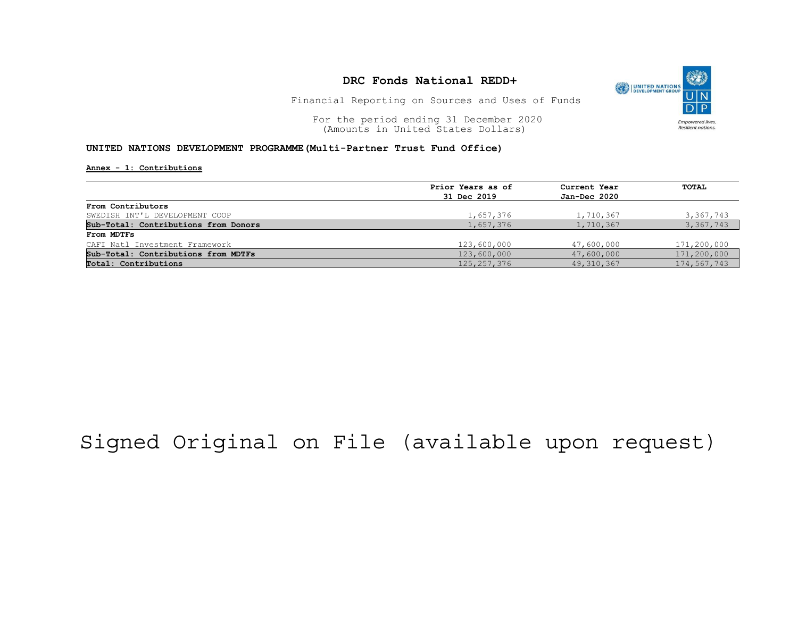

Financial Reporting on Sources and Uses of Funds

For the period ending 31 December 2020<br>
(Amounts in United States Dollars) (amounts in United States Dollars) (Amounts in United States Dollars)

### UNITED NATIONS DEVELOPMENT PROGRAMME(Multi-Partner Trust Fund Office)

Annex - 1: Contributions

| Prior Years as of | Current Year<br>Jan-Dec 2020 | TOTAL       |
|-------------------|------------------------------|-------------|
| 31 Dec 2019       |                              |             |
|                   |                              |             |
| 1,657,376         | 1,710,367                    | 3,367,743   |
| 1,657,376         | 1,710,367                    | 3,367,743   |
|                   |                              |             |
| 123,600,000       | 47,600,000                   | 171,200,000 |
| 123,600,000       | 47,600,000                   | 171,200,000 |
| 125, 257, 376     | 49, 310, 367                 | 174,567,743 |
|                   |                              |             |

## Signed Original on File (available upon request)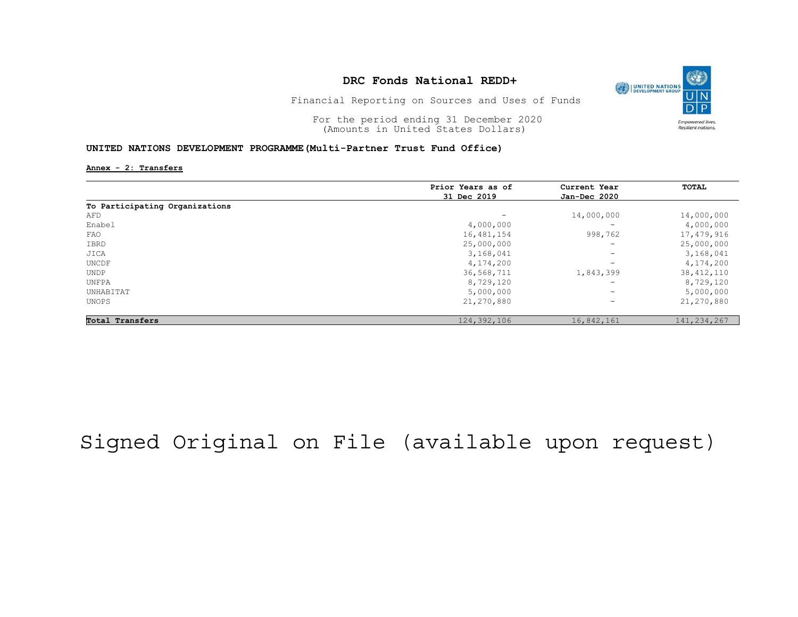

Financial Reporting on Sources and Uses of Funds

For the period ending 31 December 2020<br>
(Amounts in United States Dollars) (amounts in United States Dollars) (Amounts in United States Dollars)

### UNITED NATIONS DEVELOPMENT PROGRAMME(Multi-Partner Trust Fund Office)

Annex - 2: Transfers

|                                | Prior Years as of        | Current Year<br>Jan-Dec 2020 | <b>TOTAL</b>  |
|--------------------------------|--------------------------|------------------------------|---------------|
|                                | 31 Dec 2019              |                              |               |
| To Participating Organizations |                          |                              |               |
| AFD                            | $\overline{\phantom{0}}$ | 14,000,000                   | 14,000,000    |
| Enabel                         | 4,000,000                | -                            | 4,000,000     |
| FAO                            | 16, 481, 154             | 998,762                      | 17,479,916    |
| IBRD                           | 25,000,000               | -                            | 25,000,000    |
| JICA                           | 3,168,041                | -                            | 3,168,041     |
| UNCDF                          | 4,174,200                | -                            | 4,174,200     |
| UNDP                           | 36,568,711               | 1,843,399                    | 38, 412, 110  |
| UNFPA                          | 8,729,120                | $\overline{\phantom{0}}$     | 8,729,120     |
| UNHABITAT                      | 5,000,000                | $-$                          | 5,000,000     |
| UNOPS                          | 21,270,880               | -                            | 21,270,880    |
| Total Transfers                | 124,392,106              | 16,842,161                   | 141, 234, 267 |

## Signed Original on File (available upon request)